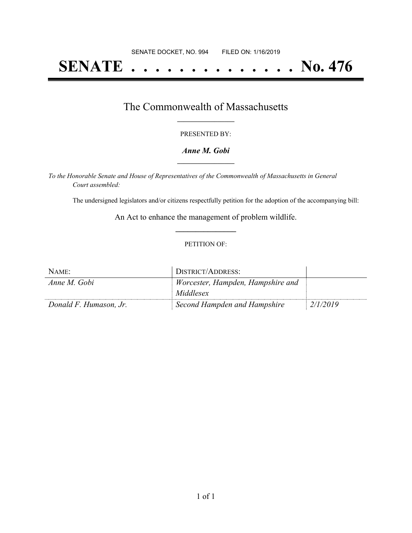# **SENATE . . . . . . . . . . . . . . No. 476**

## The Commonwealth of Massachusetts **\_\_\_\_\_\_\_\_\_\_\_\_\_\_\_\_\_**

#### PRESENTED BY:

#### *Anne M. Gobi* **\_\_\_\_\_\_\_\_\_\_\_\_\_\_\_\_\_**

*To the Honorable Senate and House of Representatives of the Commonwealth of Massachusetts in General Court assembled:*

The undersigned legislators and/or citizens respectfully petition for the adoption of the accompanying bill:

An Act to enhance the management of problem wildlife. **\_\_\_\_\_\_\_\_\_\_\_\_\_\_\_**

#### PETITION OF:

| NAME:                  | DISTRICT/ADDRESS:                 |          |
|------------------------|-----------------------------------|----------|
| Anne M. Gobi           | Worcester, Hampden, Hampshire and |          |
|                        | Middlesex                         |          |
| Donald F. Humason, Jr. | Second Hampden and Hampshire      | 2/1/2019 |